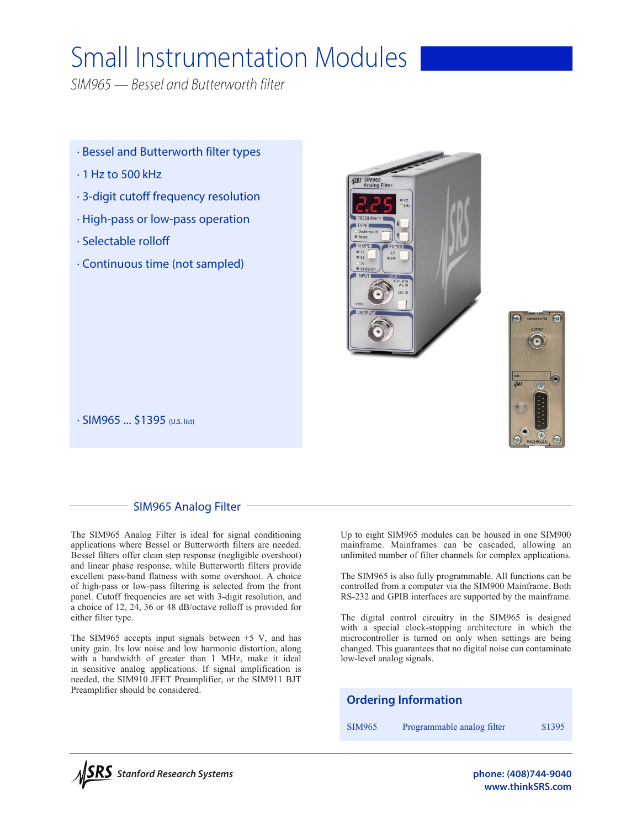# Small Instrumentation Modules

*SIM965 — Bessel and Butterworth filter*

- · Bessel and Butterworth filter types
- $\cdot$  1 Hz to 500 kHz
- · 3-digit cutoff frequency resolution
- · High-pass or low-pass operation
- · Selectable rolloff
- · Continuous time (not sampled)





· SIM965 ... \$1395 (U.S. list)

# SIM965 Analog Filter

The SIM965 Analog Filter is ideal for signal conditioning applications where Bessel or Butterworth filters are needed. Bessel filters offer clean step response (negligible overshoot) and linear phase response, while Butterworth filters provide excellent pass-band flatness with some overshoot. A choice of high-pass or low-pass filtering is selected from the front panel. Cutoff frequencies are set with 3-digit resolution, and a choice of 12, 24, 36 or 48 dB/octave rolloff is provided for either filter type.

The SIM965 accepts input signals between  $\pm$ 5 V, and has unity gain. Its low noise and low harmonic distortion, along with a bandwidth of greater than 1 MHz, make it ideal in sensitive analog applications. If signal amplification is needed, the SIM910 JFET Preamplifier, or the SIM911 BJT Preamplifier should be considered.

Up to eight SIM965 modules can be housed in one SIM900 mainframe. Mainframes can be cascaded, allowing an unlimited number of filter channels for complex applications.

The SIM965 is also fully programmable. All functions can be controlled from a computer via the SIM900 Mainframe. Both RS-232 and GPIB interfaces are supported by the mainframe.

The digital control circuitry in the SIM965 is designed with a special clock-stopping architecture in which the microcontroller is turned on only when settings are being changed. This guarantees that no digital noise can contaminate low-level analog signals.





**www.thinkSRS.com**